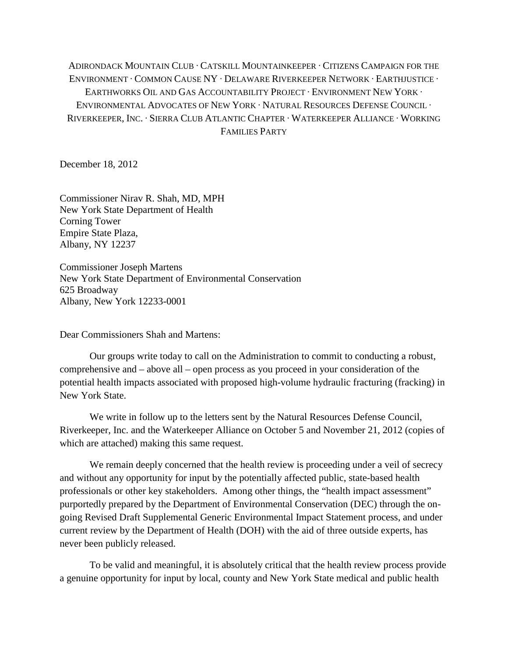ADIRONDACK MOUNTAIN CLUB ∙ CATSKILL MOUNTAINKEEPER ∙ CITIZENS CAMPAIGN FOR THE ENVIRONMENT ∙ COMMON CAUSE NY ∙ DELAWARE RIVERKEEPER NETWORK ∙ EARTHJUSTICE ∙ EARTHWORKS OIL AND GAS ACCOUNTABILITY PROJECT ∙ ENVIRONMENT NEW YORK ∙ ENVIRONMENTAL ADVOCATES OF NEW YORK ∙ NATURAL RESOURCES DEFENSE COUNCIL ∙ RIVERKEEPER, INC. ∙ SIERRA CLUB ATLANTIC CHAPTER ∙ WATERKEEPER ALLIANCE ∙ WORKING FAMILIES PARTY

December 18, 2012

Commissioner Nirav R. Shah, MD, MPH New York State Department of Health Corning Tower Empire State Plaza, Albany, NY 12237

Commissioner Joseph Martens New York State Department of Environmental Conservation 625 Broadway Albany, New York 12233-0001

Dear Commissioners Shah and Martens:

Our groups write today to call on the Administration to commit to conducting a robust, comprehensive and – above all – open process as you proceed in your consideration of the potential health impacts associated with proposed high-volume hydraulic fracturing (fracking) in New York State.

We write in follow up to the letters sent by the Natural Resources Defense Council, Riverkeeper, Inc. and the Waterkeeper Alliance on October 5 and November 21, 2012 (copies of which are attached) making this same request.

We remain deeply concerned that the health review is proceeding under a veil of secrecy and without any opportunity for input by the potentially affected public, state-based health professionals or other key stakeholders. Among other things, the "health impact assessment" purportedly prepared by the Department of Environmental Conservation (DEC) through the ongoing Revised Draft Supplemental Generic Environmental Impact Statement process, and under current review by the Department of Health (DOH) with the aid of three outside experts, has never been publicly released.

To be valid and meaningful, it is absolutely critical that the health review process provide a genuine opportunity for input by local, county and New York State medical and public health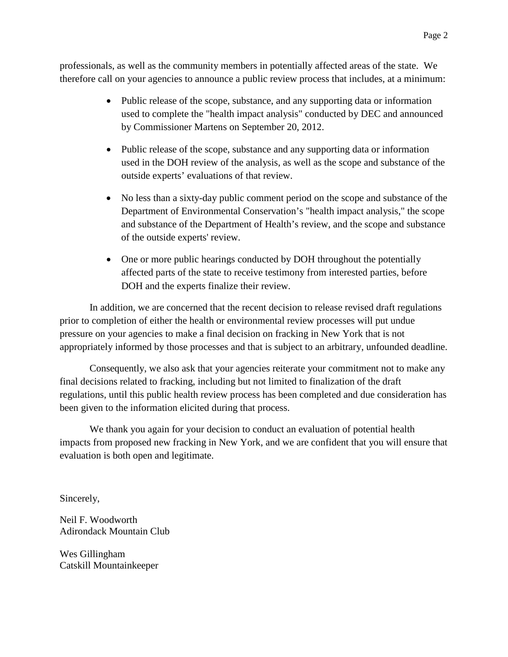professionals, as well as the community members in potentially affected areas of the state. We therefore call on your agencies to announce a public review process that includes, at a minimum:

- Public release of the scope, substance, and any supporting data or information used to complete the "health impact analysis" conducted by DEC and announced by Commissioner Martens on September 20, 2012.
- Public release of the scope, substance and any supporting data or information used in the DOH review of the analysis, as well as the scope and substance of the outside experts' evaluations of that review.
- No less than a sixty-day public comment period on the scope and substance of the Department of Environmental Conservation's "health impact analysis," the scope and substance of the Department of Health's review, and the scope and substance of the outside experts' review.
- One or more public hearings conducted by DOH throughout the potentially affected parts of the state to receive testimony from interested parties, before DOH and the experts finalize their review.

In addition, we are concerned that the recent decision to release revised draft regulations prior to completion of either the health or environmental review processes will put undue pressure on your agencies to make a final decision on fracking in New York that is not appropriately informed by those processes and that is subject to an arbitrary, unfounded deadline.

Consequently, we also ask that your agencies reiterate your commitment not to make any final decisions related to fracking, including but not limited to finalization of the draft regulations, until this public health review process has been completed and due consideration has been given to the information elicited during that process.

We thank you again for your decision to conduct an evaluation of potential health impacts from proposed new fracking in New York, and we are confident that you will ensure that evaluation is both open and legitimate.

Sincerely,

Neil F. Woodworth Adirondack Mountain Club

Wes Gillingham Catskill Mountainkeeper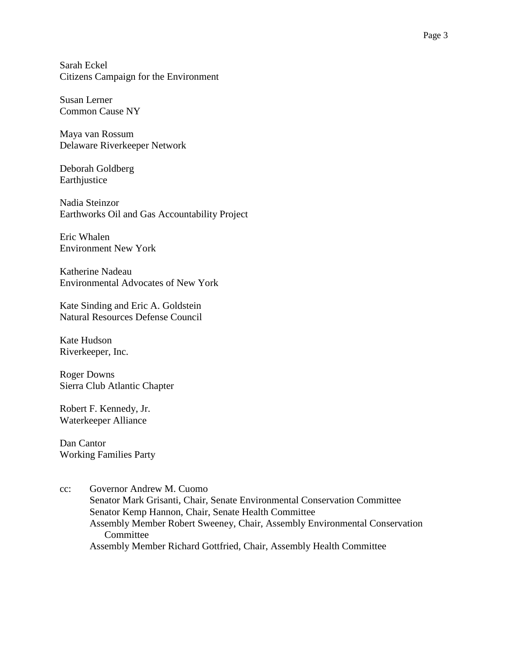Sarah Eckel Citizens Campaign for the Environment

Susan Lerner Common Cause NY

Maya van Rossum Delaware Riverkeeper Network

Deborah Goldberg Earthjustice

Nadia Steinzor Earthworks Oil and Gas Accountability Project

Eric Whalen Environment New York

Katherine Nadeau Environmental Advocates of New York

Kate Sinding and Eric A. Goldstein Natural Resources Defense Council

Kate Hudson Riverkeeper, Inc.

Roger Downs Sierra Club Atlantic Chapter

Robert F. Kennedy, Jr. Waterkeeper Alliance

Dan Cantor Working Families Party

cc: Governor Andrew M. Cuomo Senator Mark Grisanti, Chair, Senate Environmental Conservation Committee Senator Kemp Hannon, Chair, Senate Health Committee Assembly Member Robert Sweeney, Chair, Assembly Environmental Conservation **Committee** Assembly Member Richard Gottfried, Chair, Assembly Health Committee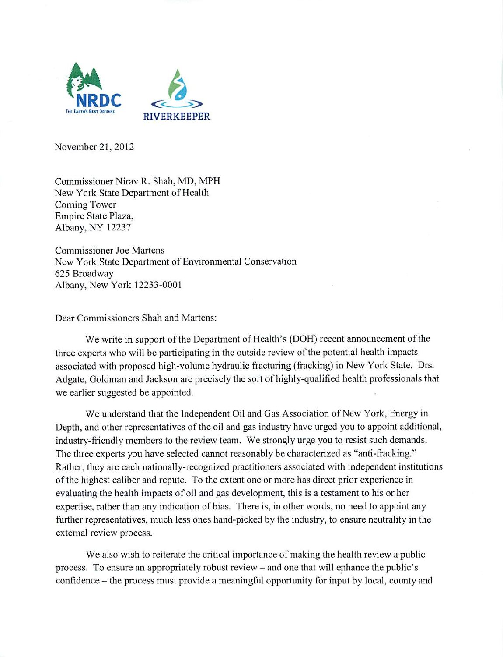

November 21, 2012

Commissioner Nirav R. Shah, MD, MPH New York State Department of Health Corning Tower Empire State Plaza, Albany, NY 12237

**Commissioner Joe Martens** New York State Department of Environmental Conservation 625 Broadway Albany, New York 12233-0001

Dear Commissioners Shah and Martens:

We write in support of the Department of Health's (DOH) recent announcement of the three experts who will be participating in the outside review of the potential health impacts associated with proposed high-volume hydraulic fracturing (fracking) in New York State. Drs. Adgate, Goldman and Jackson are precisely the sort of highly-qualified health professionals that we earlier suggested be appointed.

We understand that the Independent Oil and Gas Association of New York, Energy in Depth, and other representatives of the oil and gas industry have urged you to appoint additional, industry-friendly members to the review team. We strongly urge you to resist such demands. The three experts you have selected cannot reasonably be characterized as "anti-fracking." Rather, they are each nationally-recognized practitioners associated with independent institutions of the highest caliber and repute. To the extent one or more has direct prior experience in evaluating the health impacts of oil and gas development, this is a testament to his or her expertise, rather than any indication of bias. There is, in other words, no need to appoint any further representatives, much less ones hand-picked by the industry, to ensure neutrality in the external review process.

We also wish to reiterate the critical importance of making the health review a public process. To ensure an appropriately robust review – and one that will enhance the public's confidence – the process must provide a meaningful opportunity for input by local, county and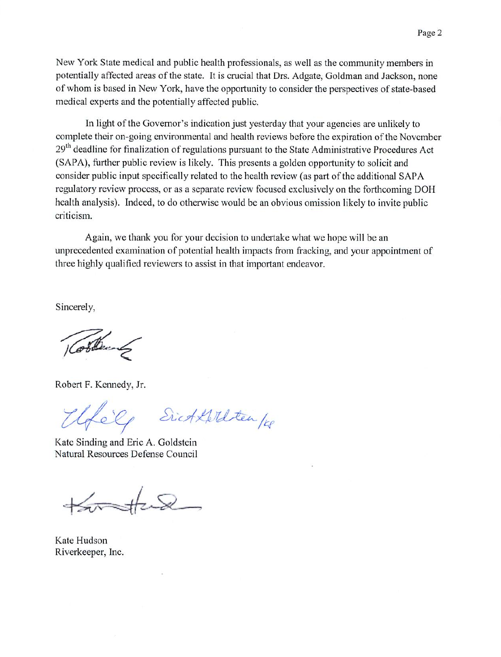New York State medical and public health professionals, as well as the community members in potentially affected areas of the state. It is crucial that Drs. Adgate, Goldman and Jackson, none of whom is based in New York, have the opportunity to consider the perspectives of state-based medical experts and the potentially affected public.

In light of the Governor's indication just yesterday that your agencies are unlikely to complete their on-going environmental and health reviews before the expiration of the November 29<sup>th</sup> deadline for finalization of regulations pursuant to the State Administrative Procedures Act (SAPA), further public review is likely. This presents a golden opportunity to solicit and consider public input specifically related to the health review (as part of the additional SAPA regulatory review process, or as a separate review focused exclusively on the forthcoming DOH health analysis). Indeed, to do otherwise would be an obvious omission likely to invite public criticism.

Again, we thank you for your decision to undertake what we hope will be an unprecedented examination of potential health impacts from fracking, and your appointment of three highly qualified reviewers to assist in that important endeavor.

Sincerely,

Gobbert

Robert F. Kennedy, Jr.

Sich Kellten /28 Elféle

Kate Sinding and Eric A. Goldstein Natural Resources Defense Council

Kate Hudson Riverkeeper, Inc.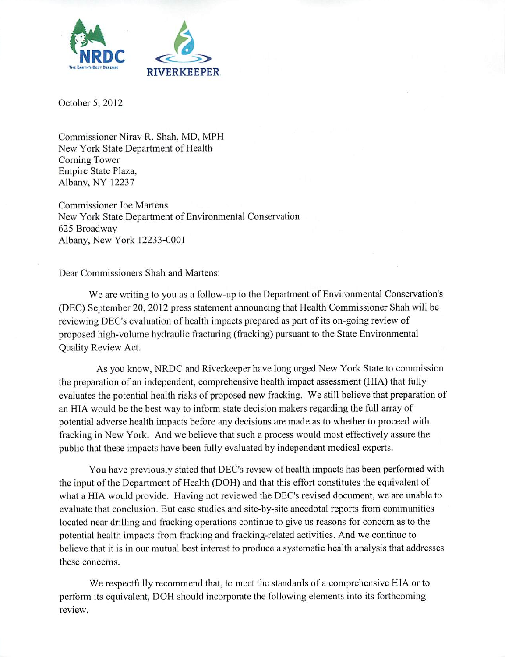

October 5, 2012

Commissioner Nirav R. Shah, MD, MPH New York State Department of Health Coming Tower Empire State Plaza, Albany, NY 12237

Commissioner Joe Martens New York State Department of Environmental Conservation 625 Broadway Albany, New York 12233-0001

Dear Commissioners Shah and Martens:

We are writing to you as a follow-up to the Department of Environmental Conservation's (DEC) September 20, 2012 press statement announcing that Health Commissioner Shah will be reviewing DEC's evaluation of health impacts prepared as part of its on-going reviewof proposed high-volume hydraulic fracturing (fracking) pursuant to the State Environmental Quality Review Act.

As you know, NRDC and Riverkeeper have long urged New York State to commission the preparation of an independent, comprehensive health impact assessment (HIA) that fully evaluates the potential health risks of proposed new fracking. We still believe that preparation of an HIA would be the best way to inform state decision makers regarding the full array of potential adverse health impacts before any decisions are made as to whether to proceed with fracking in New York. And we believe that such a process would most effectively assure the public that these impacts have been fully evaluated by independent medical experts.

You have previously stated that DEC's review of health impacts has been performed with the input of the Department of Health (DOH) and that this effort constitutes the equivalent of what a HIA would provide. Having not reviewed the DEC's revised document, we are unable to evaluate that conclusion. But case studies and sitc-by-sitc anecdotal reports from communities located near drilling and fracking operations continue to give us reasons for concern as to the potential health impacts from fracking and fracking-rclated activities. And we continue to believe that it is in our mutual best interest to produce a systematic health analysis that addresses these concerns.

We respectfully recommend that, to meet the standards of a comprehensive HIA or to perform its equivalent, DOH should incorporate the following elements into its forthcoming review.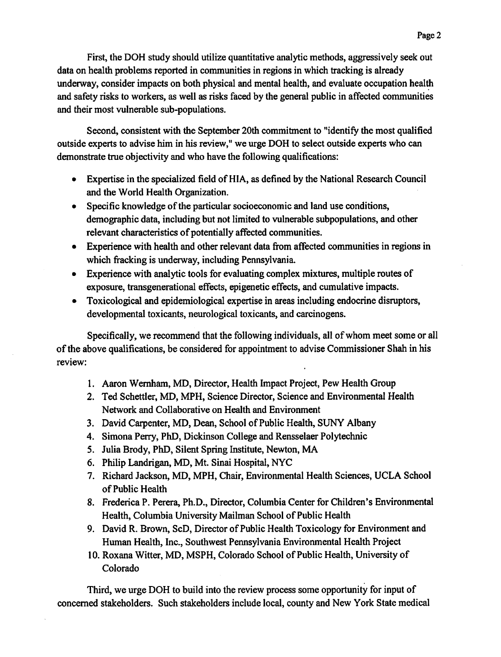First, the DOH study should utilize quantitative analytic methods, aggressively seek out data on health problems reported in communities in regions in which tracking is already underway, consider impacts on both physical and mental health, and evaluate occupation health and safety risks to workers, as well as risks faced by the general public in affected communities and their most vulnerable sub-populations.

Second, consistent with the September 20th commitment to "identify the most qualified" outside experts to advise him in his review," we urge DOH to select outside experts who can demonstrate true objectivity and who have the following qualifications:

- Expertise in the specialized field of HIA, as defined by the National Research Council and the World Health Organization.
- Specific knowledge of the particular socioeconomic and land use conditions, demographic data, including but not limited to vulnerable subpopulations, and other relevant characteristics of potentially affected communities.
- Experience with health and other relevant data from affected communities in regions in which fracking is underway, including Pennsylvania.
- Experience with analytic tools for evaluating complex mixtures, multiple routes of exposure, transgenerational effects, epigenetic effects, and cumulative impacts.
- Toxicological and epidemiological expertise in areas including endocrine disruptors,  $\bullet$ developmental toxicants, neurological toxicants, and carcinogens.

Specifically, we recommend that the following individuals, all of whom meet some or all of the above qualifications, be considered for appointment to advise Commissioner Shah in his review:

- 1. Aaron Wernham, MD, Director, Health Impact Project, Pew Health Group
- 2. Ted Schettler, MD, MPH, Science Director, Science and Environmental Health Network and Collaborative on Health and Environment
- 3. David Carpenter, MD, Dean, School of Public Health, SUNY Albany
- 4. Simona Perry, PhD, Dickinson College and Rensselaer Polytechnic
- 5. Julia Brody, PhD, Silent Spring Institute, Newton, MA
- 6. Philip Landrigan, MD, Mt. Sinai Hospital, NYC
- 7. Richard Jackson, MD, MPH, Chair, Environmental Health Sciences, UCLA School of Public Health
- 8. Frederica P. Perera, Ph.D., Director, Columbia Center for Children's Environmental Health, Columbia University Mailman School of Public Health
- 9. David R. Brown, ScD, Director of Public Health Toxicology for Environment and Human Health, Inc., Southwest Pennsylvania Environmental Health Project
- 10. Roxana Witter, MD, MSPH, Colorado School of Public Health, University of Colorado

Third, we urge DOH to build into the review process some opportunity for input of concerned stakeholders. Such stakeholders include local, county and New York State medical